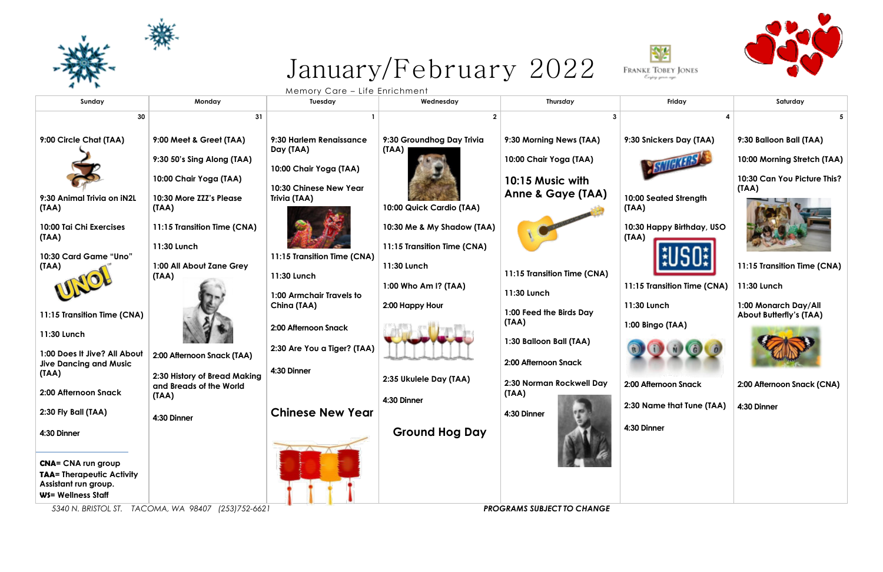## January/February 2022



**9:00 Circle Chat (TAA)**

**9:30 Animal Trivia on iN2L** 

**(TAA)**

**10:00 Tai Chi Exercises** 

**(TAA)**

**10:30 Card Game "Uno"** 

**(TAA)**

**11:15 Transition Time (CNA)** 

**11:30 Lunch**

**1:00 Does It Jive? All About Jive Dancing and Music** 

**(TAA)**

**2:00 Afternoon Snack**

**2:30 Fly Ball (TAA)**

**4:30 Dinner** 

**CNA= CNA run group TAA= Therapeutic Activity** 

**Assistant run group. WS= Wellness Staff** 





| Monday<br>Wednesday<br>Thursday<br>Friday<br>Saturday<br>Tuesday<br>30<br>31<br>5.<br>9:00 Meet & Greet (TAA)<br>9:30 Groundhog Day Trivia<br>9:30 Balloon Ball (TAA)<br>9:30 Harlem Renaissance<br>9:30 Morning News (TAA)<br>9:30 Snickers Day (TAA)<br>Day (TAA)<br>(TAA)<br>10:00 Chair Yoga (TAA)<br>10:00 Morning Stretch (TAA)<br>9:30 50's Sing Along (TAA)<br>10:00 Chair Yoga (TAA)<br>10:30 Can You Picture This?<br>10:00 Chair Yoga (TAA)<br>10:15 Music with<br>10:30 Chinese New Year<br>(TAA)<br><b>Anne &amp; Gaye (TAA)</b><br>10:00 Seated Strength<br>10:30 More ZZZ's Please<br>Trivia (TAA)<br>10:00 Quick Cardio (TAA)<br>(TAA)<br>(TAA)<br>10:30 Happy Birthday, USO<br>11:15 Transition Time (CNA)<br>10:30 Me & My Shadow (TAA)<br>(TAA)<br>11:15 Transition Time (CNA)<br>11:30 Lunch<br><b>Game "Uno"</b><br>11:15 Transition Time (CNA)<br>11:15 Transition Time (CNA)<br>1:00 All About Zane Grey<br>11:30 Lunch<br>11:15 Transition Time (CNA)<br>11:30 Lunch<br>(IAA)<br>11:15 Transition Time (CNA)<br>11:30 Lunch<br>1:00 Who Am I? (TAA)<br>11:30 Lunch<br>1:00 Armchair Travels to<br>11:30 Lunch<br>1:00 Monarch Day/All<br>China (TAA)<br>2:00 Happy Hour<br>1:00 Feed the Birds Day<br><b>About Butterfly's (TAA)</b><br>(TAA)<br>1:00 Bingo (TAA)<br>2:00 Afternoon Snack<br>1:30 Balloon Ball (TAA)<br>2:30 Are You a Tiger? (TAA)<br>2:00 Afternoon Snack (TAA)<br>2:00 Afternoon Snack<br>ng and Music<br>4:30 Dinner<br>2:30 History of Bread Making<br>2:35 Ukulele Day (TAA)<br>2:30 Norman Rockwell Day<br>2:00 Afternoon Snack<br>2:00 Afternoon Snack (CNA)<br>and Breads of the World<br>(TAA)<br>(IAA)<br>4:30 Dinner<br>2:30 Name that Tune (TAA)<br>4:30 Dinner<br><b>Chinese New Year</b><br>4:30 Dinner<br>4:30 Dinner<br>4:30 Dinner<br><b>Ground Hog Day</b><br>ess Staff<br>TACOMA, WA 98407 (253)752-6621<br><b>PROGRAMS SUBJECT TO CHANGE</b> |                                                        |  |  |  |
|-----------------------------------------------------------------------------------------------------------------------------------------------------------------------------------------------------------------------------------------------------------------------------------------------------------------------------------------------------------------------------------------------------------------------------------------------------------------------------------------------------------------------------------------------------------------------------------------------------------------------------------------------------------------------------------------------------------------------------------------------------------------------------------------------------------------------------------------------------------------------------------------------------------------------------------------------------------------------------------------------------------------------------------------------------------------------------------------------------------------------------------------------------------------------------------------------------------------------------------------------------------------------------------------------------------------------------------------------------------------------------------------------------------------------------------------------------------------------------------------------------------------------------------------------------------------------------------------------------------------------------------------------------------------------------------------------------------------------------------------------------------------------------------------------------------------------------------------------------------------------------------------------------------|--------------------------------------------------------|--|--|--|
|                                                                                                                                                                                                                                                                                                                                                                                                                                                                                                                                                                                                                                                                                                                                                                                                                                                                                                                                                                                                                                                                                                                                                                                                                                                                                                                                                                                                                                                                                                                                                                                                                                                                                                                                                                                                                                                                                                           | Sunday                                                 |  |  |  |
|                                                                                                                                                                                                                                                                                                                                                                                                                                                                                                                                                                                                                                                                                                                                                                                                                                                                                                                                                                                                                                                                                                                                                                                                                                                                                                                                                                                                                                                                                                                                                                                                                                                                                                                                                                                                                                                                                                           |                                                        |  |  |  |
|                                                                                                                                                                                                                                                                                                                                                                                                                                                                                                                                                                                                                                                                                                                                                                                                                                                                                                                                                                                                                                                                                                                                                                                                                                                                                                                                                                                                                                                                                                                                                                                                                                                                                                                                                                                                                                                                                                           | Chat (TAA)<br>ul Trivia on iN2L<br>hi Exercises        |  |  |  |
|                                                                                                                                                                                                                                                                                                                                                                                                                                                                                                                                                                                                                                                                                                                                                                                                                                                                                                                                                                                                                                                                                                                                                                                                                                                                                                                                                                                                                                                                                                                                                                                                                                                                                                                                                                                                                                                                                                           |                                                        |  |  |  |
|                                                                                                                                                                                                                                                                                                                                                                                                                                                                                                                                                                                                                                                                                                                                                                                                                                                                                                                                                                                                                                                                                                                                                                                                                                                                                                                                                                                                                                                                                                                                                                                                                                                                                                                                                                                                                                                                                                           | ition Time (CNA)<br>t Jive? All About                  |  |  |  |
|                                                                                                                                                                                                                                                                                                                                                                                                                                                                                                                                                                                                                                                                                                                                                                                                                                                                                                                                                                                                                                                                                                                                                                                                                                                                                                                                                                                                                                                                                                                                                                                                                                                                                                                                                                                                                                                                                                           | oon Snack                                              |  |  |  |
|                                                                                                                                                                                                                                                                                                                                                                                                                                                                                                                                                                                                                                                                                                                                                                                                                                                                                                                                                                                                                                                                                                                                                                                                                                                                                                                                                                                                                                                                                                                                                                                                                                                                                                                                                                                                                                                                                                           | II (TAA)<br>run group<br>apeutic Activity<br>in group. |  |  |  |
|                                                                                                                                                                                                                                                                                                                                                                                                                                                                                                                                                                                                                                                                                                                                                                                                                                                                                                                                                                                                                                                                                                                                                                                                                                                                                                                                                                                                                                                                                                                                                                                                                                                                                                                                                                                                                                                                                                           | <b>BRISTOL ST.</b>                                     |  |  |  |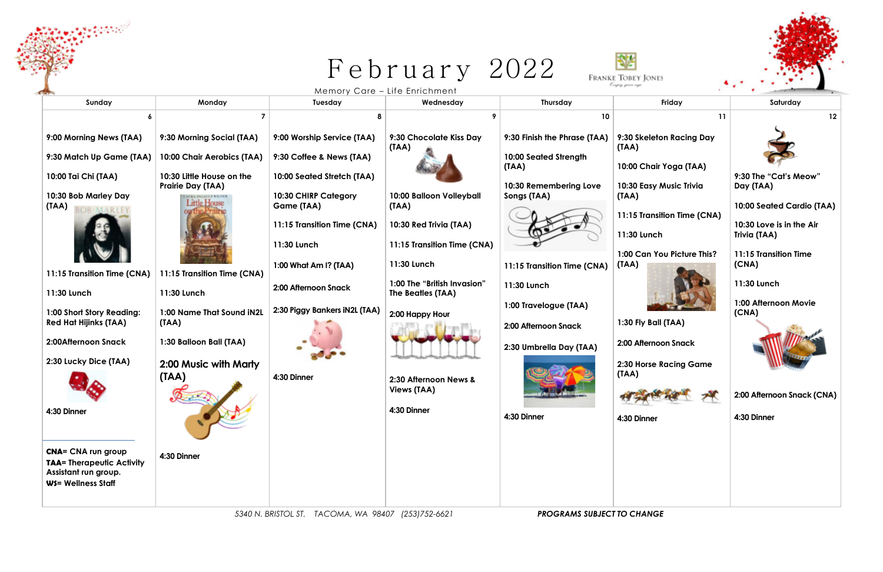#### February 2022  $\begin{array}{c} \textbf{I} \textbf{C} \textbf{D} \textbf{I} \textbf{d} \textbf{I} \ \textbf{I} \ \textbf{I} \ \textbf{I} \ \textbf{I} \ \textbf{I} \ \textbf{I} \ \textbf{I} \ \textbf{I} \ \textbf{I} \ \textbf{I} \ \textbf{I} \ \textbf{I} \ \textbf{I} \ \textbf{I} \ \textbf{I} \ \textbf{I} \ \textbf{I} \ \textbf{I} \ \textbf{I} \ \textbf{I} \ \textbf{I} \ \textbf{I} \ \textbf{I} \ \textbf{I} \ \textbf{I} \ \$



**Sunday Monday Tuesday Wednesday Thursday Friday Saturday 6 7 8 9 10 11 12 9:00 Morning News (TAA) 9:30 Morning Social (TAA) 9:00 Worship Service (TAA) 9:30 Chocolate Kiss Day 9:30 Finish the Phrase (TAA) (TAA) (TAA) 9:30 Match Up Game (TAA) 10:00 Chair Aerobics (TAA) 9:30 Coffee & News (TAA) 10:00 Seated Strength (TAA) 10:30 Little House on the 10:00 Seated Stretch (TAA) 10:00 Tai Chi (TAA) Prairie Day (TAA) 10:30 Remembering Love 10:30 Bob Marley Day 10:30 CHIRP Category 10:00 Balloon Volleyball Songs (TAA) (TAA) Little House (TAA) Game (TAA) (TAA) 11:15 Transition Time (CNA) 10:30 Red Trivia (TAA) 11:30 Lunch 11:30 Lunch 11:15 Transition Time (CNA) 11:30 Lunch (TAA) 1:00 What Am I? (TAA) 11:15 Transition Time (CNA) 11:15 Transition Time (CNA) 11:15 Transition Time (CNA) 1:00 The "British Invasion" 11:30 Lunch 2:00 Afternoon Snack 11:30 Lunch 11:30 Lunch The Beatles (TAA) 1:00 Travelogue (TAA) 2:30 Piggy Bankers iN2L (TAA) 1:00 Name That Sound iN2L 1:00 Short Story Reading: 2:00 Happy Hour Red Hat Hijinks (TAA) (TAA) 2:00 Afternoon Snack 2:00Afternoon Snack 1:30 Balloon Ball (TAA) 2:30 Umbrella Day (TAA) 2:30 Lucky Dice (TAA) 2:00 Music with Marty (TAA) (TAA) 4:30 Dinner 2:30 Afternoon News & Views (TAA) 4:30 Dinner 4:30 Dinner 4:30 Dinner 4:30 Dinner CNA= CNA run group 4:30 Dinner TAA= Therapeutic Activity Assistant run group. WS= Wellness Staff** 

**9:30 Skeleton Racing Day** 

**10:00 Chair Yoga (TAA)** 

**10:30 Easy Music Trivia** 

**11:15 Transition Time (CNA)** 

**1:00 Can You Picture This?** 



**1:30 Fly Ball (TAA)**

**2:00 Afternoon Snack**

**2:30 Horse Racing Game** 



**9:30 The "Cat's Meow" Day (TAA)**

**10:00 Seated Cardio (TAA)** 

**10:30 Love is in the Air Trivia (TAA)** 

**11:15 Transition Time (CNA)** 

**11:30 Lunch**

**1:00 Afternoon Movie (CNA)**



**2:00 Afternoon Snack (CNA)**

**4:30 Dinner** 

| <b>ONES</b> |             |          |  |  |
|-------------|-------------|----------|--|--|
|             |             |          |  |  |
| Friday      |             | Saturday |  |  |
|             | <b>11.5</b> | $\sim$   |  |  |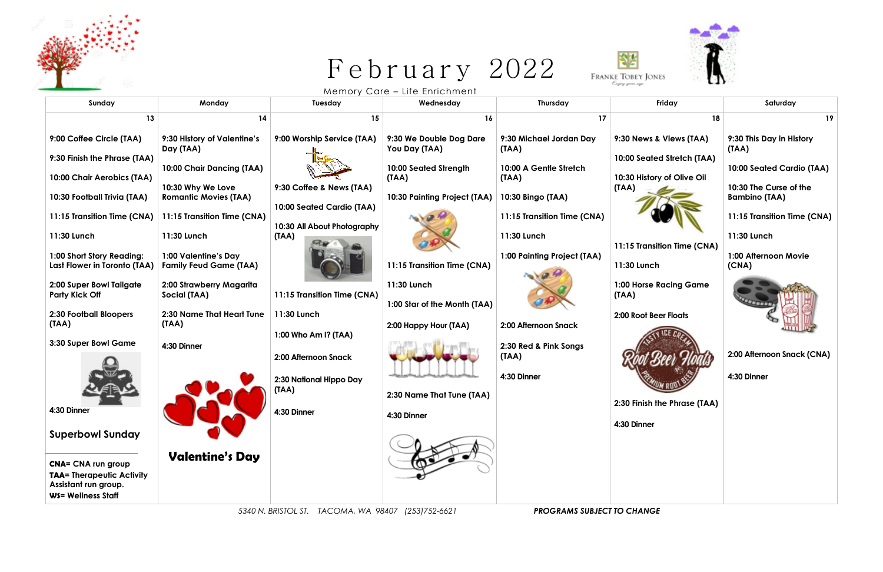

# February 2022



Memory Care – Life Enrichment

| Sunday                                                                                                      | Monday                                                | Tuesday                                                  | Wednesday                                             | Thursday                         | Friday                          | Saturday                          |
|-------------------------------------------------------------------------------------------------------------|-------------------------------------------------------|----------------------------------------------------------|-------------------------------------------------------|----------------------------------|---------------------------------|-----------------------------------|
| 13                                                                                                          | 14                                                    | 15                                                       | 16                                                    | 17                               | 18                              | 19                                |
| 9:00 Coffee Circle (TAA)                                                                                    | 9:30 History of Valentine's<br>Day (TAA)              | 9:00 Worship Service (TAA)                               | 9:30 We Double Dog Dare<br>You Day (TAA)              | 9:30 Michael Jordan Day<br>(TAA) | 9:30 News & Views (TAA)         | 9:30 This Day in History<br>(IAA) |
| 9:30 Finish the Phrase (TAA)                                                                                | 10:00 Chair Dancing (TAA)                             |                                                          | 10:00 Seated Strength                                 | 10:00 A Gentle Stretch           | 10:00 Seated Stretch (TAA)      | 10:00 Seated Cardio (TAA)         |
| 10:00 Chair Aerobics (TAA)                                                                                  |                                                       |                                                          | (TAA)                                                 | (IAA)                            | 10:30 History of Olive Oil      | 10:30 The Curse of the            |
| 10:30 Football Trivia (TAA)                                                                                 | 10:30 Why We Love<br><b>Romantic Movies (TAA)</b>     | 9:30 Coffee & News (TAA)                                 | 10:30 Painting Project (TAA)                          | 10:30 Bingo (TAA)                | (IAA)                           | <b>Bambino (TAA)</b>              |
| 11:15 Transition Time (CNA)                                                                                 | 11:15 Transition Time (CNA)                           | 10:00 Seated Cardio (TAA)<br>10:30 All About Photography |                                                       | 11:15 Transition Time (CNA)      |                                 | 11:15 Transition Time (CNA)       |
| 11:30 Lunch                                                                                                 | 11:30 Lunch                                           | (TAA)                                                    |                                                       | 11:30 Lunch                      | 11:15 Transition Time (CNA)     | 11:30 Lunch                       |
| 1:00 Short Story Reading:<br>Last Flower in Toronto (TAA)                                                   | 1:00 Valentine's Day<br><b>Family Feud Game (TAA)</b> |                                                          | 11:15 Transition Time (CNA)                           | 1:00 Painting Project (TAA)      | 11:30 Lunch                     | 1:00 Afternoon Movie<br>(CNA)     |
| 2:00 Super Bowl Tailgate<br><b>Party Kick Off</b>                                                           | 2:00 Strawberry Magarita<br>Social (TAA)              | 11:15 Transition Time (CNA)                              | 11:30 Lunch                                           |                                  | 1:00 Horse Racing Game<br>(IAA) |                                   |
| 2:30 Football Bloopers<br>(TAA)                                                                             | 2:30 Name That Heart Tune<br>(TAA)                    | 11:30 Lunch                                              | 1:00 Star of the Month (TAA)<br>2:00 Happy Hour (TAA) | 2:00 Afternoon Snack             | 2:00 Root Beer Floats           |                                   |
| 3:30 Super Bowl Game                                                                                        | 4:30 Dinner                                           | 1:00 Who Am I? (TAA)                                     |                                                       | 2:30 Red & Pink Songs            |                                 |                                   |
|                                                                                                             |                                                       | 2:00 Afternoon Snack                                     |                                                       | (TAA)                            |                                 | 2:00 Afternoon Snack (CNA)        |
|                                                                                                             |                                                       | 2:30 National Hippo Day                                  |                                                       | 4:30 Dinner                      |                                 | 4:30 Dinner                       |
|                                                                                                             |                                                       | (TAA)                                                    | 2:30 Name That Tune (TAA)                             |                                  | 2:30 Finish the Phrase (TAA)    |                                   |
| 4:30 Dinner                                                                                                 |                                                       | 4:30 Dinner                                              | 4:30 Dinner                                           |                                  | 4:30 Dinner                     |                                   |
| <b>Superbowl Sunday</b>                                                                                     |                                                       |                                                          |                                                       |                                  |                                 |                                   |
| <b>CNA= CNA run group</b><br><b>TAA= Therapeutic Activity</b><br>Assistant run group.<br>WS= Wellness Staff | <b>Valentine's Day</b>                                |                                                          |                                                       |                                  |                                 |                                   |

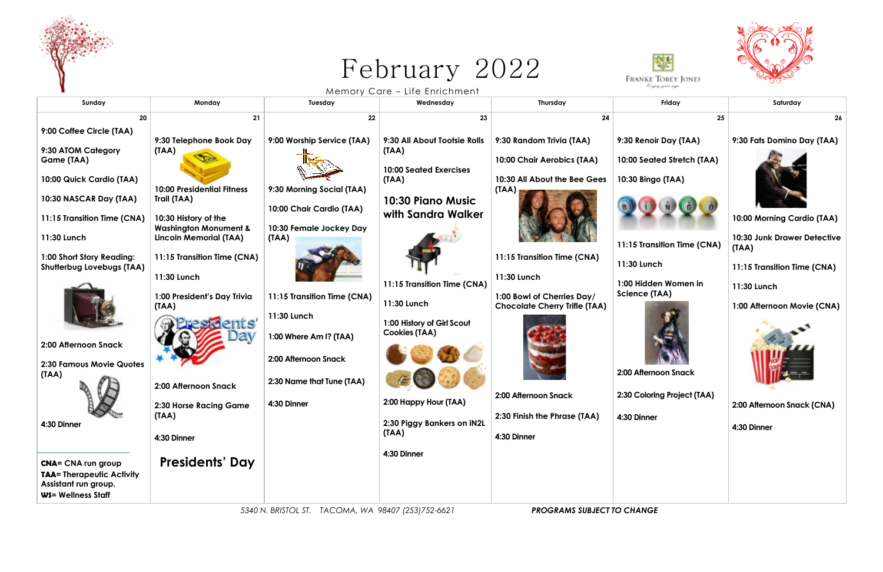

# February 2022

| Carpina gunun agus<br>Memory Care - Life Enrichment<br>Monday<br>Thursday<br>Friday<br>Saturday<br>Sunday<br>Tuesday<br>Wednesday<br>21<br>23<br>20<br>22<br>24<br>25                                            |    |
|------------------------------------------------------------------------------------------------------------------------------------------------------------------------------------------------------------------|----|
|                                                                                                                                                                                                                  |    |
|                                                                                                                                                                                                                  |    |
|                                                                                                                                                                                                                  | 26 |
| 9:00 Coffee Circle (TAA)                                                                                                                                                                                         |    |
| 9:30 All About Tootsie Rolls<br>9:30 Fats Domino Day (TAA)<br>9:30 Telephone Book Day<br>9:00 Worship Service (TAA)<br>9:30 Random Trivia (TAA)<br>9:30 Renoir Day (TAA)<br>9:30 ATOM Category<br>(TAA)<br>(TAA) |    |
| 10:00 Chair Aerobics (TAA)<br>10:00 Seated Stretch (TAA)<br>Game (TAA)                                                                                                                                           |    |
| <b>10:00 Seated Exercises</b><br>10:00 Quick Cardio (TAA)<br>(TAA)<br>10:30 All About the Bee Gees<br>10:30 Bingo (TAA)                                                                                          |    |
| <b>10:00 Presidential Fitness</b><br>9:30 Morning Social (TAA)<br>(TAA)                                                                                                                                          |    |
| 10:30 NASCAR Day (TAA)<br>Trail (TAA)<br>10:30 Piano Music                                                                                                                                                       |    |
| 10:00 Chair Cardio (TAA)<br>with Sandra Walker<br>10:00 Morning Cardio (TAA)<br>11:15 Transition Time (CNA)<br>10:30 History of the                                                                              |    |
| <b>Washington Monument &amp;</b><br>10:30 Female Jockey Day                                                                                                                                                      |    |
| 11:30 Lunch<br><b>Lincoln Memorial (TAA)</b><br>10:30 Junk Drawer Detective<br>(TAA)<br>11:15 Transition Time (CNA)<br>(IAA)                                                                                     |    |
| 1:00 Short Story Reading:<br>11:15 Transition Time (CNA)<br>11:15 Transition Time (CNA)                                                                                                                          |    |
| 11:30 Lunch<br>11:15 Transition Time (CNA)<br>Shutterbug Lovebugs (TAA)<br>11:30 Lunch<br>11:30 Lunch                                                                                                            |    |
| 1:00 Hidden Women in<br>11:15 Transition Time (CNA)<br>11:30 Lunch                                                                                                                                               |    |
| <b>Science (TAA)</b><br>1:00 President's Day Trivia<br>11:15 Transition Time (CNA)<br>1:00 Bowl of Cherries Day/<br>11:30 Lunch                                                                                  |    |
| (TAA)<br><b>Chocolate Cherry Trifle (TAA)</b><br>1:00 Afternoon Movie (CNA)<br>11:30 Lunch                                                                                                                       |    |
| 1:00 History of Girl Scout                                                                                                                                                                                       |    |
| <b>Cookies (TAA)</b><br>1:00 Where Am I? (TAA)<br>2:00 Afternoon Snack                                                                                                                                           |    |
| 2:00 Afternoon Snack                                                                                                                                                                                             |    |
| 2:30 Famous Movie Quotes<br>2:00 Afternoon Snack                                                                                                                                                                 |    |
| (TAA)<br>2:30 Name that Tune (TAA)<br>2:00 Afternoon Snack                                                                                                                                                       |    |
| 2:00 Afternoon Snack<br>2:30 Coloring Project (TAA)                                                                                                                                                              |    |
| 2:00 Happy Hour (TAA)<br>4:30 Dinner<br>2:00 Afternoon Snack (CNA)<br>2:30 Horse Racing Game                                                                                                                     |    |
| (IAA)<br>2:30 Finish the Phrase (TAA)<br>4:30 Dinner<br>2:30 Piggy Bankers on IN2L<br>4:30 Dinner<br>4:30 Dinner                                                                                                 |    |
| (TAA)<br>4:30 Dinner<br>4:30 Dinner                                                                                                                                                                              |    |
| 4:30 Dinner                                                                                                                                                                                                      |    |
| <b>Presidents' Day</b><br><b>CNA= CNA run group</b>                                                                                                                                                              |    |
| <b>TAA= Therapeutic Activity</b><br>Assistant run group.                                                                                                                                                         |    |
| WS= Wellness Staff                                                                                                                                                                                               |    |